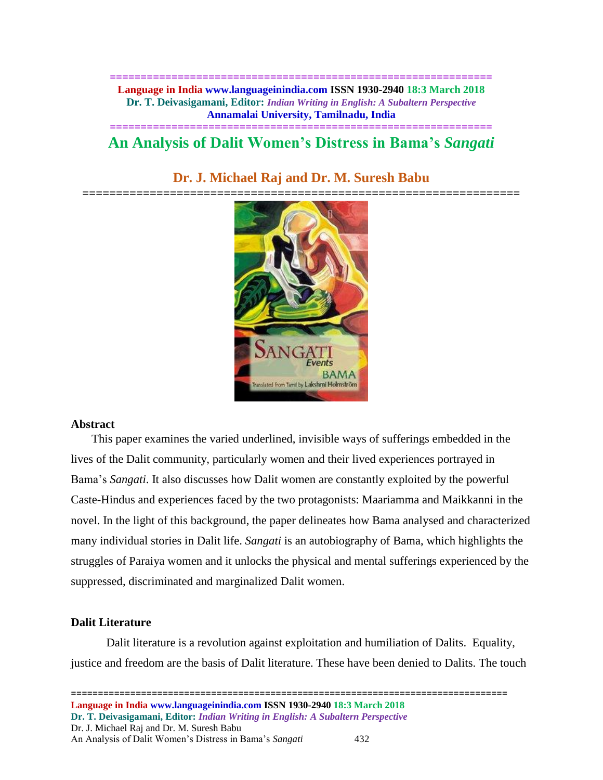**============================================================== Language in India www.languageinindia.com ISSN 1930-2940 18:3 March 2018 Dr. T. Deivasigamani, Editor:** *Indian Writing in English: A Subaltern Perspective* **Annamalai University, Tamilnadu, India**

# **============================================================== An Analysis of Dalit Women's Distress in Bama's** *Sangati*

# **Dr. J. Michael Raj and Dr. M. Suresh Babu**



# **Abstract**

This paper examines the varied underlined, invisible ways of sufferings embedded in the lives of the Dalit community, particularly women and their lived experiences portrayed in Bama's *Sangati*. It also discusses how Dalit women are constantly exploited by the powerful Caste-Hindus and experiences faced by the two protagonists: Maariamma and Maikkanni in the novel. In the light of this background, the paper delineates how Bama analysed and characterized many individual stories in Dalit life. *Sangati* is an autobiography of Bama, which highlights the struggles of Paraiya women and it unlocks the physical and mental sufferings experienced by the suppressed, discriminated and marginalized Dalit women.

# **Dalit Literature**

Dalit literature is a revolution against exploitation and humiliation of Dalits. Equality, justice and freedom are the basis of Dalit literature. These have been denied to Dalits. The touch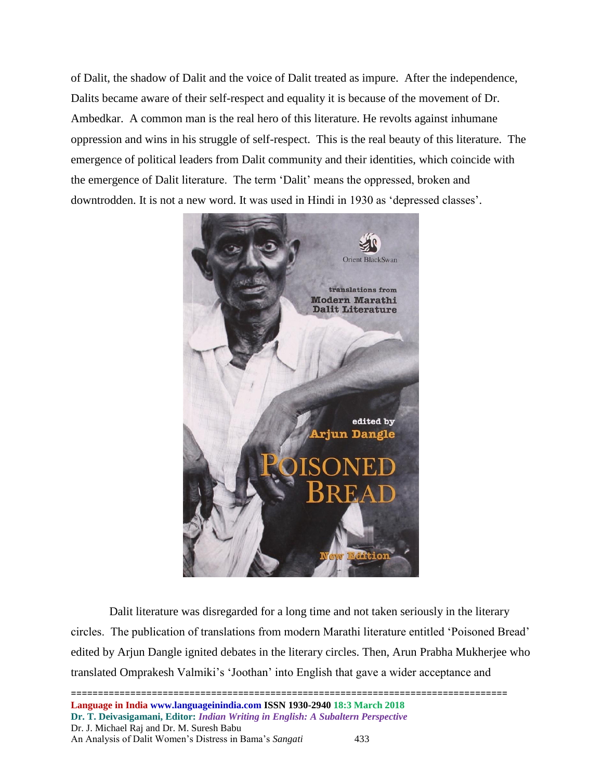of Dalit, the shadow of Dalit and the voice of Dalit treated as impure. After the independence, Dalits became aware of their self-respect and equality it is because of the movement of Dr. Ambedkar. A common man is the real hero of this literature. He revolts against inhumane oppression and wins in his struggle of self-respect. This is the real beauty of this literature. The emergence of political leaders from Dalit community and their identities, which coincide with the emergence of Dalit literature. The term 'Dalit' means the oppressed, broken and downtrodden. It is not a new word. It was used in Hindi in 1930 as 'depressed classes'.



Dalit literature was disregarded for a long time and not taken seriously in the literary circles. The publication of translations from modern Marathi literature entitled 'Poisoned Bread' edited by Arjun Dangle ignited debates in the literary circles. Then, Arun Prabha Mukherjee who translated Omprakesh Valmiki's 'Joothan' into English that gave a wider acceptance and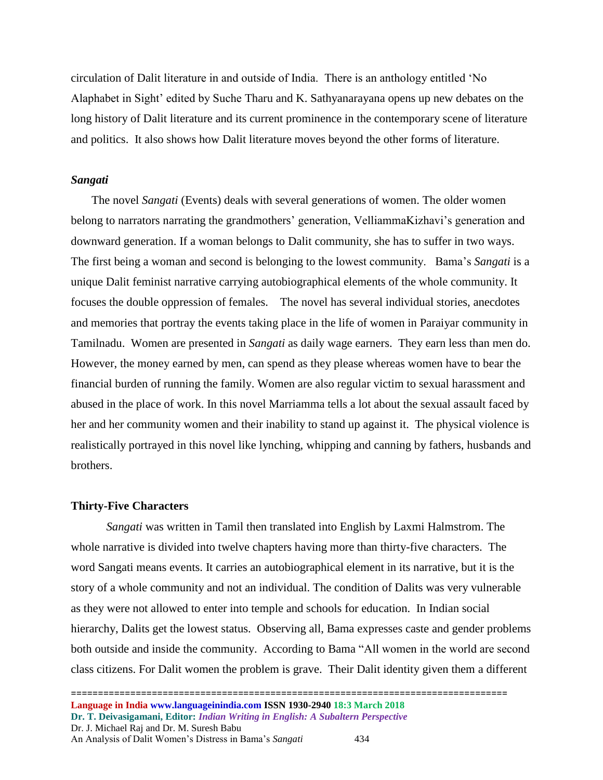circulation of Dalit literature in and outside of India. There is an anthology entitled 'No Alaphabet in Sight' edited by Suche Tharu and K. Sathyanarayana opens up new debates on the long history of Dalit literature and its current prominence in the contemporary scene of literature and politics. It also shows how Dalit literature moves beyond the other forms of literature.

### *Sangati*

The novel *Sangati* (Events) deals with several generations of women. The older women belong to narrators narrating the grandmothers' generation, VelliammaKizhavi's generation and downward generation. If a woman belongs to Dalit community, she has to suffer in two ways. The first being a woman and second is belonging to the lowest community. Bama's *Sangati* is a unique Dalit feminist narrative carrying autobiographical elements of the whole community. It focuses the double oppression of females. The novel has several individual stories, anecdotes and memories that portray the events taking place in the life of women in Paraiyar community in Tamilnadu. Women are presented in *Sangati* as daily wage earners. They earn less than men do. However, the money earned by men, can spend as they please whereas women have to bear the financial burden of running the family. Women are also regular victim to sexual harassment and abused in the place of work. In this novel Marriamma tells a lot about the sexual assault faced by her and her community women and their inability to stand up against it. The physical violence is realistically portrayed in this novel like lynching, whipping and canning by fathers, husbands and brothers.

# **Thirty-Five Characters**

*Sangati* was written in Tamil then translated into English by Laxmi Halmstrom. The whole narrative is divided into twelve chapters having more than thirty-five characters. The word Sangati means events. It carries an autobiographical element in its narrative, but it is the story of a whole community and not an individual. The condition of Dalits was very vulnerable as they were not allowed to enter into temple and schools for education. In Indian social hierarchy, Dalits get the lowest status. Observing all, Bama expresses caste and gender problems both outside and inside the community. According to Bama "All women in the world are second class citizens. For Dalit women the problem is grave. Their Dalit identity given them a different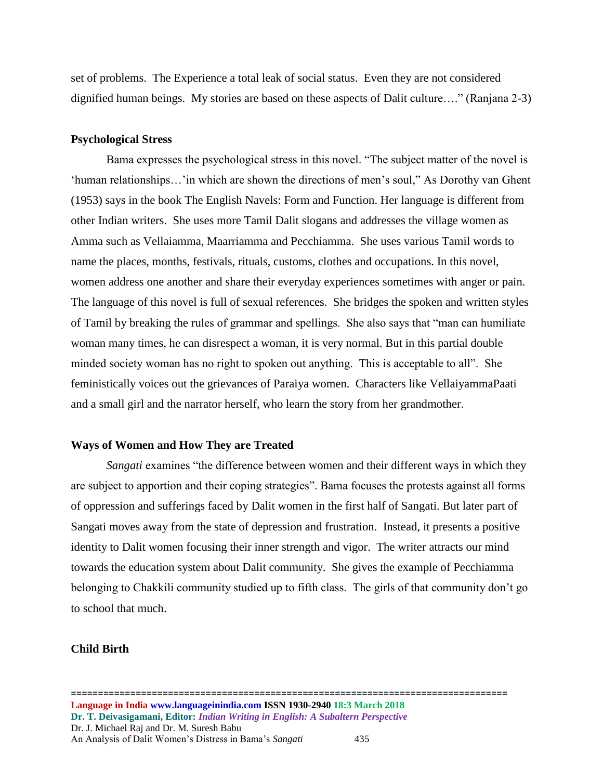set of problems. The Experience a total leak of social status. Even they are not considered dignified human beings. My stories are based on these aspects of Dalit culture…." (Ranjana 2-3)

### **Psychological Stress**

Bama expresses the psychological stress in this novel. "The subject matter of the novel is 'human relationships…'in which are shown the directions of men's soul," As Dorothy van Ghent (1953) says in the book The English Navels: Form and Function. Her language is different from other Indian writers. She uses more Tamil Dalit slogans and addresses the village women as Amma such as Vellaiamma, Maarriamma and Pecchiamma. She uses various Tamil words to name the places, months, festivals, rituals, customs, clothes and occupations. In this novel, women address one another and share their everyday experiences sometimes with anger or pain. The language of this novel is full of sexual references. She bridges the spoken and written styles of Tamil by breaking the rules of grammar and spellings. She also says that "man can humiliate woman many times, he can disrespect a woman, it is very normal. But in this partial double minded society woman has no right to spoken out anything. This is acceptable to all". She feministically voices out the grievances of Paraiya women. Characters like VellaiyammaPaati and a small girl and the narrator herself, who learn the story from her grandmother.

#### **Ways of Women and How They are Treated**

*Sangati* examines "the difference between women and their different ways in which they are subject to apportion and their coping strategies". Bama focuses the protests against all forms of oppression and sufferings faced by Dalit women in the first half of Sangati. But later part of Sangati moves away from the state of depression and frustration. Instead, it presents a positive identity to Dalit women focusing their inner strength and vigor. The writer attracts our mind towards the education system about Dalit community. She gives the example of Pecchiamma belonging to Chakkili community studied up to fifth class. The girls of that community don't go to school that much.

# **Child Birth**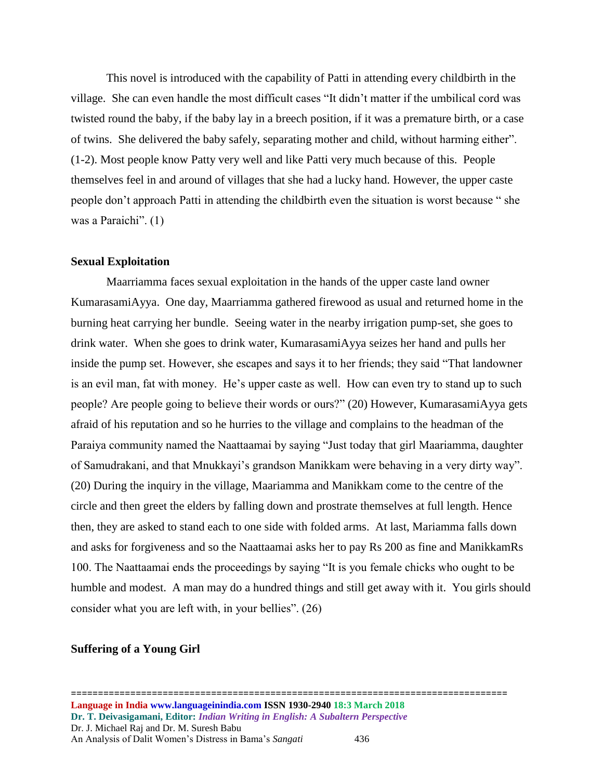This novel is introduced with the capability of Patti in attending every childbirth in the village. She can even handle the most difficult cases "It didn't matter if the umbilical cord was twisted round the baby, if the baby lay in a breech position, if it was a premature birth, or a case of twins. She delivered the baby safely, separating mother and child, without harming either". (1-2). Most people know Patty very well and like Patti very much because of this. People themselves feel in and around of villages that she had a lucky hand. However, the upper caste people don't approach Patti in attending the childbirth even the situation is worst because " she was a Paraichi". (1)

# **Sexual Exploitation**

Maarriamma faces sexual exploitation in the hands of the upper caste land owner KumarasamiAyya. One day, Maarriamma gathered firewood as usual and returned home in the burning heat carrying her bundle. Seeing water in the nearby irrigation pump-set, she goes to drink water. When she goes to drink water, KumarasamiAyya seizes her hand and pulls her inside the pump set. However, she escapes and says it to her friends; they said "That landowner is an evil man, fat with money. He's upper caste as well. How can even try to stand up to such people? Are people going to believe their words or ours?" (20) However, KumarasamiAyya gets afraid of his reputation and so he hurries to the village and complains to the headman of the Paraiya community named the Naattaamai by saying "Just today that girl Maariamma, daughter of Samudrakani, and that Mnukkayi's grandson Manikkam were behaving in a very dirty way". (20) During the inquiry in the village, Maariamma and Manikkam come to the centre of the circle and then greet the elders by falling down and prostrate themselves at full length. Hence then, they are asked to stand each to one side with folded arms. At last, Mariamma falls down and asks for forgiveness and so the Naattaamai asks her to pay Rs 200 as fine and ManikkamRs 100. The Naattaamai ends the proceedings by saying "It is you female chicks who ought to be humble and modest. A man may do a hundred things and still get away with it. You girls should consider what you are left with, in your bellies". (26)

# **Suffering of a Young Girl**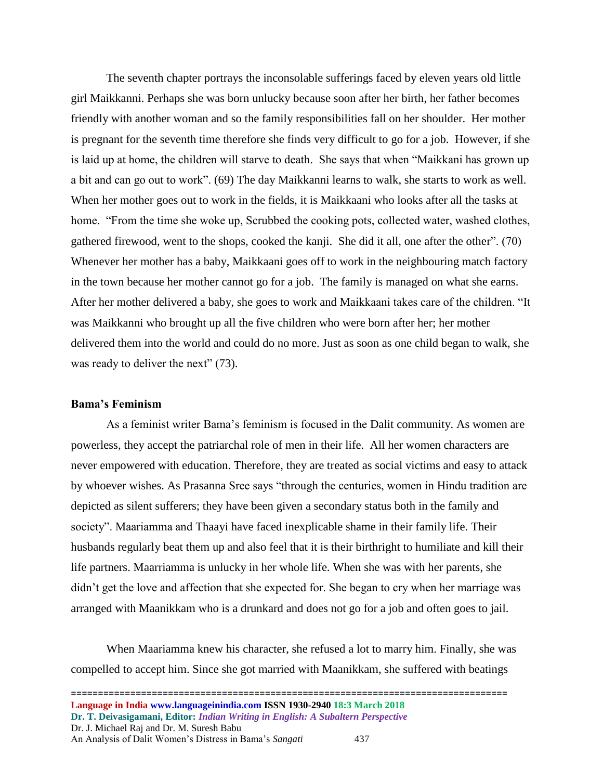The seventh chapter portrays the inconsolable sufferings faced by eleven years old little girl Maikkanni. Perhaps she was born unlucky because soon after her birth, her father becomes friendly with another woman and so the family responsibilities fall on her shoulder. Her mother is pregnant for the seventh time therefore she finds very difficult to go for a job. However, if she is laid up at home, the children will starve to death. She says that when "Maikkani has grown up a bit and can go out to work". (69) The day Maikkanni learns to walk, she starts to work as well. When her mother goes out to work in the fields, it is Maikkaani who looks after all the tasks at home. "From the time she woke up, Scrubbed the cooking pots, collected water, washed clothes, gathered firewood, went to the shops, cooked the kanji. She did it all, one after the other". (70) Whenever her mother has a baby, Maikkaani goes off to work in the neighbouring match factory in the town because her mother cannot go for a job. The family is managed on what she earns. After her mother delivered a baby, she goes to work and Maikkaani takes care of the children. "It was Maikkanni who brought up all the five children who were born after her; her mother delivered them into the world and could do no more. Just as soon as one child began to walk, she was ready to deliver the next" (73).

#### **Bama's Feminism**

As a feminist writer Bama's feminism is focused in the Dalit community. As women are powerless, they accept the patriarchal role of men in their life. All her women characters are never empowered with education. Therefore, they are treated as social victims and easy to attack by whoever wishes. As Prasanna Sree says "through the centuries, women in Hindu tradition are depicted as silent sufferers; they have been given a secondary status both in the family and society". Maariamma and Thaayi have faced inexplicable shame in their family life. Their husbands regularly beat them up and also feel that it is their birthright to humiliate and kill their life partners. Maarriamma is unlucky in her whole life. When she was with her parents, she didn't get the love and affection that she expected for. She began to cry when her marriage was arranged with Maanikkam who is a drunkard and does not go for a job and often goes to jail.

When Maariamma knew his character, she refused a lot to marry him. Finally, she was compelled to accept him. Since she got married with Maanikkam, she suffered with beatings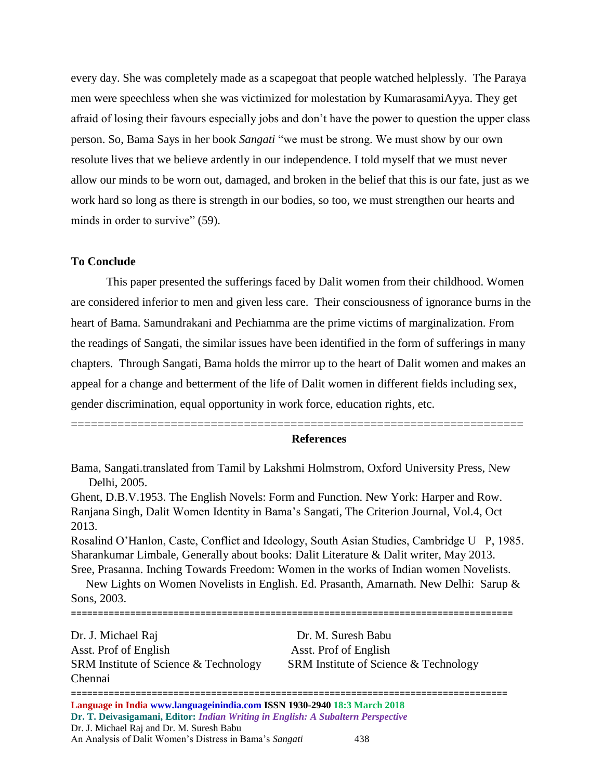every day. She was completely made as a scapegoat that people watched helplessly. The Paraya men were speechless when she was victimized for molestation by KumarasamiAyya. They get afraid of losing their favours especially jobs and don't have the power to question the upper class person. So, Bama Says in her book *Sangati* "we must be strong. We must show by our own resolute lives that we believe ardently in our independence. I told myself that we must never allow our minds to be worn out, damaged, and broken in the belief that this is our fate, just as we work hard so long as there is strength in our bodies, so too, we must strengthen our hearts and minds in order to survive" (59).

# **To Conclude**

This paper presented the sufferings faced by Dalit women from their childhood. Women are considered inferior to men and given less care. Their consciousness of ignorance burns in the heart of Bama. Samundrakani and Pechiamma are the prime victims of marginalization. From the readings of Sangati, the similar issues have been identified in the form of sufferings in many chapters. Through Sangati, Bama holds the mirror up to the heart of Dalit women and makes an appeal for a change and betterment of the life of Dalit women in different fields including sex, gender discrimination, equal opportunity in work force, education rights, etc.

## **References**

Bama, Sangati.translated from Tamil by Lakshmi Holmstrom, Oxford University Press, New Delhi, 2005.

====================================================================

Ghent, D.B.V.1953. The English Novels: Form and Function. New York: Harper and Row. Ranjana Singh, Dalit Women Identity in Bama's Sangati, The Criterion Journal, Vol.4, Oct 2013.

Rosalind O'Hanlon, Caste, Conflict and Ideology, South Asian Studies, Cambridge U P, 1985. Sharankumar Limbale, Generally about books: Dalit Literature & Dalit writer, May 2013. Sree, Prasanna. Inching Towards Freedom: Women in the works of Indian women Novelists.

 New Lights on Women Novelists in English. Ed. Prasanth, Amarnath. New Delhi: Sarup & Sons, 2003. ==================================================================================

Dr. J. Michael Raj Dr. M. Suresh Babu Asst. Prof of English Asst. Prof of English SRM Institute of Science & Technology SRM Institute of Science & Technology Chennai

================================================================================= **Language in India www.languageinindia.com ISSN 1930-2940 18:3 March 2018 Dr. T. Deivasigamani, Editor:** *Indian Writing in English: A Subaltern Perspective* Dr. J. Michael Raj and Dr. M. Suresh Babu An Analysis of Dalit Women's Distress in Bama's *Sangati* 438